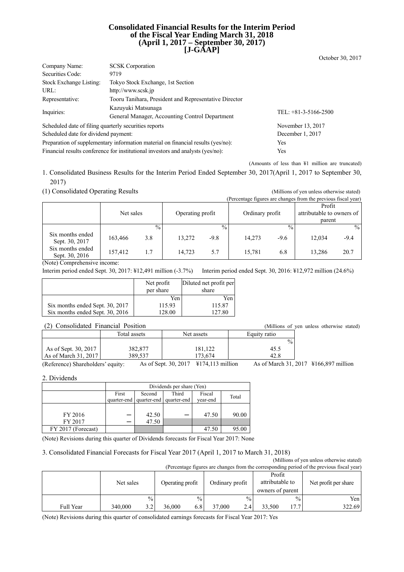### **Consolidated Financial Results for the Interim Period of the Fiscal Year Ending March 31, 2018 (April 1, 2017 – September 30, 2017) [J-GAAP]**

| Company Name:                                                                    | <b>SCSK</b> Corporation                                                         |                        |
|----------------------------------------------------------------------------------|---------------------------------------------------------------------------------|------------------------|
| Securities Code:                                                                 | 9719                                                                            |                        |
| Stock Exchange Listing:                                                          | Tokyo Stock Exchange, 1st Section                                               |                        |
| URL:                                                                             | http://www.scsk.jp                                                              |                        |
| Representative:                                                                  | Tooru Tanihara, President and Representative Director                           |                        |
| Inquiries:                                                                       | Kazuyuki Matsunaga                                                              | TEL: $+81-3-5166-2500$ |
|                                                                                  | General Manager, Accounting Control Department                                  |                        |
| Scheduled date of filing quarterly securities reports                            |                                                                                 | November 13, 2017      |
| Scheduled date for dividend payment:                                             | December 1, 2017                                                                |                        |
| Preparation of supplementary information material on financial results (yes/no): | Yes                                                                             |                        |
|                                                                                  | Financial results conference for institutional investors and analysts (yes/no): | Yes                    |

(Amounts of less than ¥1 million are truncated)

October 30, 2017

1. Consolidated Business Results for the Interim Period Ended September 30, 2017(April 1, 2017 to September 30, 2017)

(1) Consolidated Operating Results (Millions of yen unless otherwise stated)

| $(1)$ compositation operating resparing |           |               |                  |               |                 |               |                                                                |        |
|-----------------------------------------|-----------|---------------|------------------|---------------|-----------------|---------------|----------------------------------------------------------------|--------|
|                                         |           |               |                  |               |                 |               | (Percentage figures are changes from the previous fiscal year) |        |
|                                         |           |               |                  |               |                 |               | Profit                                                         |        |
|                                         | Net sales |               | Operating profit |               | Ordinary profit |               | attributable to owners of                                      |        |
|                                         |           |               |                  |               |                 |               | parent                                                         |        |
|                                         |           | $\frac{0}{0}$ |                  | $\frac{0}{0}$ |                 | $\frac{0}{0}$ |                                                                | $\%$   |
| Six months ended<br>Sept. 30, 2017      | 163,466   | 3.8           | 13,272           | -9.8          | 14,273          | $-9.6$        | 12.034                                                         | $-9.4$ |
| Six months ended<br>Sept. 30, 2016      | 157,412   | 1.7           | 14.723           | 5.7           | 15.781          | 6.8           | 13,286                                                         | 20.7   |

(Note) Comprehensive income:

Interim period ended Sept. 30, 2017: ¥12,491 million (-3.7%) Interim period ended Sept. 30, 2016: ¥12,972 million (24.6%)

|                                 | Net profit<br>per share | Diluted net profit per<br>share |
|---------------------------------|-------------------------|---------------------------------|
|                                 | Yen                     | Yen                             |
| Six months ended Sept. 30, 2017 | 115.93                  | 115.87                          |
| Six months ended Sept. 30, 2016 | 128.00                  | 127.80                          |

### (2) Consolidated Financial Position (Millions of yen unless otherwise stated)

| $\cdot$ $\sim$ $\cdot$<br>$\sim$ | ,,,,,,,,,,,,,,,,, |            |               |
|----------------------------------|-------------------|------------|---------------|
|                                  | Total assets      | Net assets | Equity ratio  |
|                                  |                   |            | $\frac{0}{0}$ |
| As of Sept. 30, 2017             | 382,877           | 181,122    | 45.5          |
| As of March 31, 2017             | 389.537           | 173.674    | 42.8          |

(Reference) Shareholders' equity: As of Sept. 30, 2017 ¥174,113 million As of March 31, 2017 ¥166,897 million

2. Dividends

|                    | Dividends per share (Yen) |             |             |          |       |
|--------------------|---------------------------|-------------|-------------|----------|-------|
|                    | First                     | Second      | Third       | Fiscal   | Total |
|                    | quarter-end               | quarter-end | quarter-end | year-end |       |
|                    |                           |             |             |          |       |
| FY 2016            |                           | 42.50       |             | 47.50    | 90.00 |
| FY 2017            |                           | 47.50       |             |          |       |
| FY 2017 (Forecast) |                           |             |             | 47.50    | 95.00 |

(Note) Revisions during this quarter of Dividends forecasts for Fiscal Year 2017: None

### 3. Consolidated Financial Forecasts for Fiscal Year 2017 (April 1, 2017 to March 31, 2018)

(Millions of yen unless otherwise stated) (Percentage figures are changes from the corresponding period of the previous fiscal year)

|           | Net sales      | Operating profit | Ordinary profit | Profit<br>attributable to<br>owners of parent | Net profit per share |
|-----------|----------------|------------------|-----------------|-----------------------------------------------|----------------------|
|           | $\frac{0}{0}$  | $\frac{0}{0}$    | $\frac{0}{0}$   | $\frac{0}{0}$                                 | Yen l                |
| Full Year | 340,000<br>2 J | 36,000<br>6.8    | 37.000<br>2.4   | 7.7<br>33.500                                 | 322.69               |

(Note) Revisions during this quarter of consolidated earnings forecasts for Fiscal Year 2017: Yes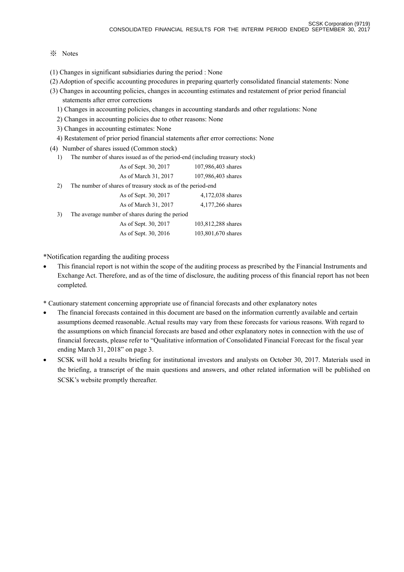## ※ Notes

- (1) Changes in significant subsidiaries during the period : None
- (2) Adoption of specific accounting procedures in preparing quarterly consolidated financial statements: None
- (3) Changes in accounting policies, changes in accounting estimates and restatement of prior period financial statements after error corrections
	- 1) Changes in accounting policies, changes in accounting standards and other regulations: None
	- 2) Changes in accounting policies due to other reasons: None
	- 3) Changes in accounting estimates: None
	- 4) Restatement of prior period financial statements after error corrections: None
- (4) Number of shares issued (Common stock)
	- 1) The number of shares issued as of the period-end (including treasury stock)

|    | As of Sept. 30, 2017                                        | 107,986,403 shares |
|----|-------------------------------------------------------------|--------------------|
|    | As of March 31, 2017                                        | 107,986,403 shares |
| 2) | The number of shares of treasury stock as of the period-end |                    |
|    | As of Sept. 30, 2017                                        | 4,172,038 shares   |
|    | As of March 31, 2017                                        | 4,177,266 shares   |
| 3) | The average number of shares during the period              |                    |
|    | As of Sept. 30, 2017                                        | 103,812,288 shares |
|    | As of Sept. 30, 2016                                        | 103,801,670 shares |

\*Notification regarding the auditing process

- This financial report is not within the scope of the auditing process as prescribed by the Financial Instruments and Exchange Act. Therefore, and as of the time of disclosure, the auditing process of this financial report has not been completed.
- \* Cautionary statement concerning appropriate use of financial forecasts and other explanatory notes
- The financial forecasts contained in this document are based on the information currently available and certain assumptions deemed reasonable. Actual results may vary from these forecasts for various reasons. With regard to the assumptions on which financial forecasts are based and other explanatory notes in connection with the use of financial forecasts, please refer to "Qualitative information of Consolidated Financial Forecast for the fiscal year ending March 31, 2018" on page 3.
- SCSK will hold a results briefing for institutional investors and analysts on October 30, 2017. Materials used in the briefing, a transcript of the main questions and answers, and other related information will be published on SCSK's website promptly thereafter.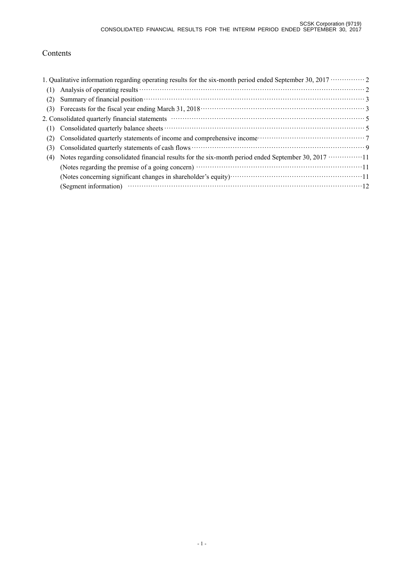# Contents

|     | 1. Qualitative information regarding operating results for the six-month period ended September 30, 2017 ··············· 2                                                                                                     |
|-----|--------------------------------------------------------------------------------------------------------------------------------------------------------------------------------------------------------------------------------|
| (1) |                                                                                                                                                                                                                                |
| (2) | Summary of financial position <b>contract to the contract of the set of the set of financial position</b> 3                                                                                                                    |
| (3) |                                                                                                                                                                                                                                |
|     | 2. Consolidated quarterly financial statements material contracts and statements of the statements of the statements of the statements of the statements of the statements of the statements of the statements of the statemen |
| (1) |                                                                                                                                                                                                                                |
| (2) |                                                                                                                                                                                                                                |
| (3) |                                                                                                                                                                                                                                |
| (4) | Notes regarding consolidated financial results for the six-month period ended September 30, 2017 ·················11                                                                                                           |
|     | (Notes regarding the premise of a going concern) manufactured contract to the premise of a going concern)                                                                                                                      |
|     |                                                                                                                                                                                                                                |
|     | (Segment information) $\cdots$ $\cdots$ $\cdots$ $\cdots$ $\cdots$ $\cdots$ $\cdots$ $\cdots$ $\cdots$ $\cdots$ $\cdots$ $\cdots$ $\cdots$ $\cdots$ $\cdots$ $\cdots$                                                          |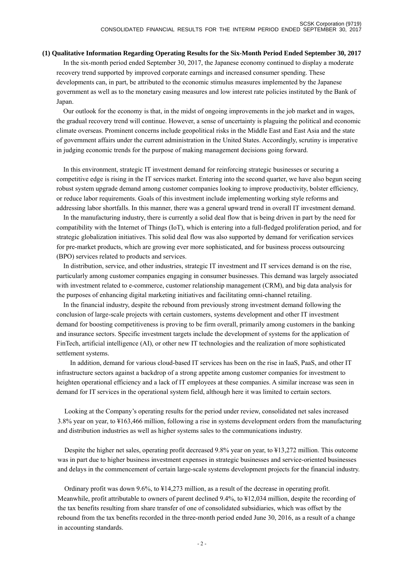#### **(1) Qualitative Information Regarding Operating Results for the Six-Month Period Ended September 30, 2017**

In the six-month period ended September 30, 2017, the Japanese economy continued to display a moderate recovery trend supported by improved corporate earnings and increased consumer spending. These developments can, in part, be attributed to the economic stimulus measures implemented by the Japanese government as well as to the monetary easing measures and low interest rate policies instituted by the Bank of Japan.

Our outlook for the economy is that, in the midst of ongoing improvements in the job market and in wages, the gradual recovery trend will continue. However, a sense of uncertainty is plaguing the political and economic climate overseas. Prominent concerns include geopolitical risks in the Middle East and East Asia and the state of government affairs under the current administration in the United States. Accordingly, scrutiny is imperative in judging economic trends for the purpose of making management decisions going forward.

In this environment, strategic IT investment demand for reinforcing strategic businesses or securing a competitive edge is rising in the IT services market. Entering into the second quarter, we have also begun seeing robust system upgrade demand among customer companies looking to improve productivity, bolster efficiency, or reduce labor requirements. Goals of this investment include implementing working style reforms and addressing labor shortfalls. In this manner, there was a general upward trend in overall IT investment demand.

In the manufacturing industry, there is currently a solid deal flow that is being driven in part by the need for compatibility with the Internet of Things (IoT), which is entering into a full-fledged proliferation period, and for strategic globalization initiatives. This solid deal flow was also supported by demand for verification services for pre-market products, which are growing ever more sophisticated, and for business process outsourcing (BPO) services related to products and services.

In distribution, service, and other industries, strategic IT investment and IT services demand is on the rise, particularly among customer companies engaging in consumer businesses. This demand was largely associated with investment related to e-commerce, customer relationship management (CRM), and big data analysis for the purposes of enhancing digital marketing initiatives and facilitating omni-channel retailing.

In the financial industry, despite the rebound from previously strong investment demand following the conclusion of large-scale projects with certain customers, systems development and other IT investment demand for boosting competitiveness is proving to be firm overall, primarily among customers in the banking and insurance sectors. Specific investment targets include the development of systems for the application of FinTech, artificial intelligence (AI), or other new IT technologies and the realization of more sophisticated settlement systems.

 In addition, demand for various cloud-based IT services has been on the rise in IaaS, PaaS, and other IT infrastructure sectors against a backdrop of a strong appetite among customer companies for investment to heighten operational efficiency and a lack of IT employees at these companies. A similar increase was seen in demand for IT services in the operational system field, although here it was limited to certain sectors.

Looking at the Company's operating results for the period under review, consolidated net sales increased 3.8% year on year, to ¥163,466 million, following a rise in systems development orders from the manufacturing and distribution industries as well as higher systems sales to the communications industry.

Despite the higher net sales, operating profit decreased 9.8% year on year, to ¥13,272 million. This outcome was in part due to higher business investment expenses in strategic businesses and service-oriented businesses and delays in the commencement of certain large-scale systems development projects for the financial industry.

Ordinary profit was down 9.6%, to ¥14,273 million, as a result of the decrease in operating profit. Meanwhile, profit attributable to owners of parent declined 9.4%, to ¥12,034 million, despite the recording of the tax benefits resulting from share transfer of one of consolidated subsidiaries, which was offset by the rebound from the tax benefits recorded in the three-month period ended June 30, 2016, as a result of a change in accounting standards.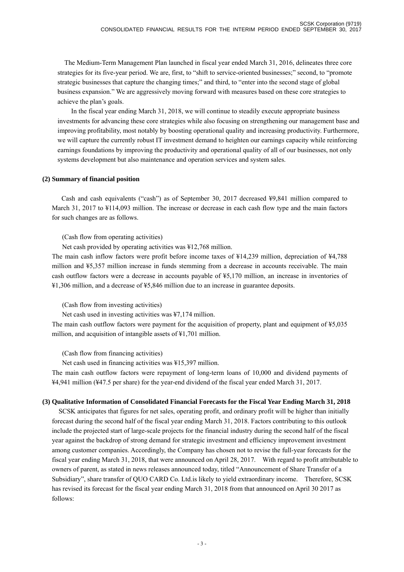The Medium-Term Management Plan launched in fiscal year ended March 31, 2016, delineates three core strategies for its five-year period. We are, first, to "shift to service-oriented businesses;" second, to "promote strategic businesses that capture the changing times;" and third, to "enter into the second stage of global business expansion." We are aggressively moving forward with measures based on these core strategies to achieve the plan's goals.

 In the fiscal year ending March 31, 2018, we will continue to steadily execute appropriate business investments for advancing these core strategies while also focusing on strengthening our management base and improving profitability, most notably by boosting operational quality and increasing productivity. Furthermore, we will capture the currently robust IT investment demand to heighten our earnings capacity while reinforcing earnings foundations by improving the productivity and operational quality of all of our businesses, not only systems development but also maintenance and operation services and system sales.

## **(2) Summary of financial position**

Cash and cash equivalents ("cash") as of September 30, 2017 decreased ¥9,841 million compared to March 31, 2017 to ¥114,093 million. The increase or decrease in each cash flow type and the main factors for such changes are as follows.

## (Cash flow from operating activities)

Net cash provided by operating activities was ¥12,768 million.

The main cash inflow factors were profit before income taxes of ¥14,239 million, depreciation of ¥4,788 million and ¥5,357 million increase in funds stemming from a decrease in accounts receivable. The main cash outflow factors were a decrease in accounts payable of ¥5,170 million, an increase in inventories of ¥1,306 million, and a decrease of ¥5,846 million due to an increase in guarantee deposits.

### (Cash flow from investing activities)

Net cash used in investing activities was ¥7,174 million.

The main cash outflow factors were payment for the acquisition of property, plant and equipment of ¥5,035 million, and acquisition of intangible assets of ¥1,701 million.

(Cash flow from financing activities)

Net cash used in financing activities was ¥15,397 million.

The main cash outflow factors were repayment of long-term loans of 10,000 and dividend payments of ¥4,941 million (¥47.5 per share) for the year-end dividend of the fiscal year ended March 31, 2017.

## **(3) Qualitative Information of Consolidated Financial Forecasts for the Fiscal Year Ending March 31, 2018**

SCSK anticipates that figures for net sales, operating profit, and ordinary profit will be higher than initially forecast during the second half of the fiscal year ending March 31, 2018. Factors contributing to this outlook include the projected start of large-scale projects for the financial industry during the second half of the fiscal year against the backdrop of strong demand for strategic investment and efficiency improvement investment among customer companies. Accordingly, the Company has chosen not to revise the full-year forecasts for the fiscal year ending March 31, 2018, that were announced on April 28, 2017. With regard to profit attributable to owners of parent, as stated in news releases announced today, titled "Announcement of Share Transfer of a Subsidiary", share transfer of QUO CARD Co. Ltd.is likely to yield extraordinary income. Therefore, SCSK has revised its forecast for the fiscal year ending March 31, 2018 from that announced on April 30 2017 as follows: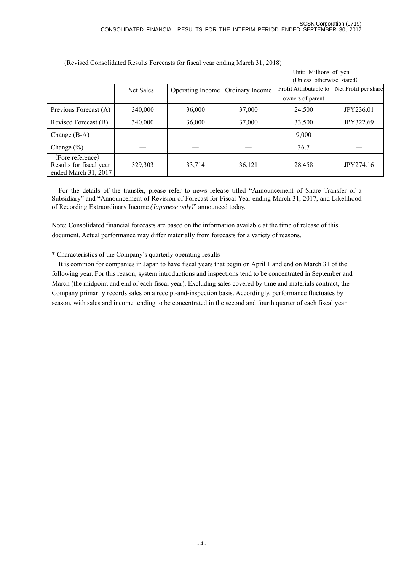Unit: Millions of yen

|                                                                     |           |                  |                 | (Unless otherwise stated) |                      |
|---------------------------------------------------------------------|-----------|------------------|-----------------|---------------------------|----------------------|
|                                                                     | Net Sales | Operating Income | Ordinary Income | Profit Attributable to    | Net Profit per share |
|                                                                     |           |                  |                 | owners of parent          |                      |
| Previous Forecast (A)                                               | 340,000   | 36,000           | 37,000          | 24,500                    | JPY236.01            |
| Revised Forecast (B)                                                | 340,000   | 36,000           | 37,000          | 33,500                    | <b>JPY322.69</b>     |
| Change $(B-A)$                                                      |           |                  |                 | 9,000                     |                      |
| Change $(\% )$                                                      |           |                  |                 | 36.7                      |                      |
| (Fore reference)<br>Results for fiscal year<br>ended March 31, 2017 | 329,303   | 33,714           | 36,121          | 28,458                    | JPY274.16            |

(Revised Consolidated Results Forecasts for fiscal year ending March 31, 2018)

For the details of the transfer, please refer to news release titled "Announcement of Share Transfer of a Subsidiary" and "Announcement of Revision of Forecast for Fiscal Year ending March 31, 2017, and Likelihood of Recording Extraordinary Income *(Japanese only)*" announced today.

Note: Consolidated financial forecasts are based on the information available at the time of release of this document. Actual performance may differ materially from forecasts for a variety of reasons.

\* Characteristics of the Company's quarterly operating results

 It is common for companies in Japan to have fiscal years that begin on April 1 and end on March 31 of the following year. For this reason, system introductions and inspections tend to be concentrated in September and March (the midpoint and end of each fiscal year). Excluding sales covered by time and materials contract, the Company primarily records sales on a receipt-and-inspection basis. Accordingly, performance fluctuates by season, with sales and income tending to be concentrated in the second and fourth quarter of each fiscal year.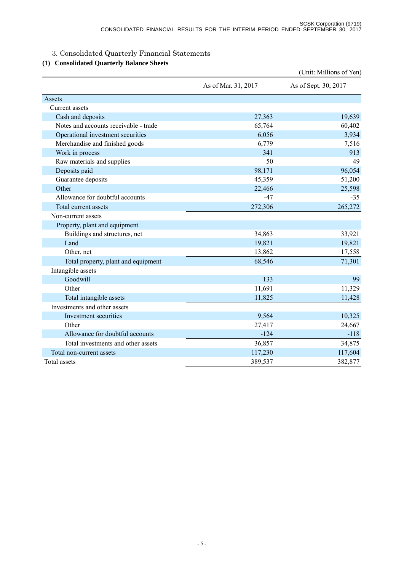# 3. Consolidated Quarterly Financial Statements

## **(1) Consolidated Quarterly Balance Sheets**

|                                       |                     | (Unit: Millions of Yen) |
|---------------------------------------|---------------------|-------------------------|
|                                       | As of Mar. 31, 2017 | As of Sept. 30, 2017    |
| Assets                                |                     |                         |
| Current assets                        |                     |                         |
| Cash and deposits                     | 27,363              | 19,639                  |
| Notes and accounts receivable - trade | 65,764              | 60,402                  |
| Operational investment securities     | 6,056               | 3,934                   |
| Merchandise and finished goods        | 6,779               | 7,516                   |
| Work in process                       | 341                 | 913                     |
| Raw materials and supplies            | 50                  | 49                      |
| Deposits paid                         | 98,171              | 96,054                  |
| Guarantee deposits                    | 45,359              | 51,200                  |
| Other                                 | 22,466              | 25,598                  |
| Allowance for doubtful accounts       | $-47$               | $-35$                   |
| Total current assets                  | 272,306             | 265,272                 |
| Non-current assets                    |                     |                         |
| Property, plant and equipment         |                     |                         |
| Buildings and structures, net         | 34,863              | 33,921                  |
| Land                                  | 19,821              | 19,821                  |
| Other, net                            | 13,862              | 17,558                  |
| Total property, plant and equipment   | 68,546              | 71,301                  |
| Intangible assets                     |                     |                         |
| Goodwill                              | 133                 | 99                      |
| Other                                 | 11,691              | 11,329                  |
| Total intangible assets               | 11,825              | 11,428                  |
| Investments and other assets          |                     |                         |
| Investment securities                 | 9,564               | 10,325                  |
| Other                                 | 27,417              | 24,667                  |
| Allowance for doubtful accounts       | $-124$              | $-118$                  |
| Total investments and other assets    | 36,857              | 34,875                  |
| Total non-current assets              | 117,230             | 117,604                 |
| Total assets                          | 389,537             | 382,877                 |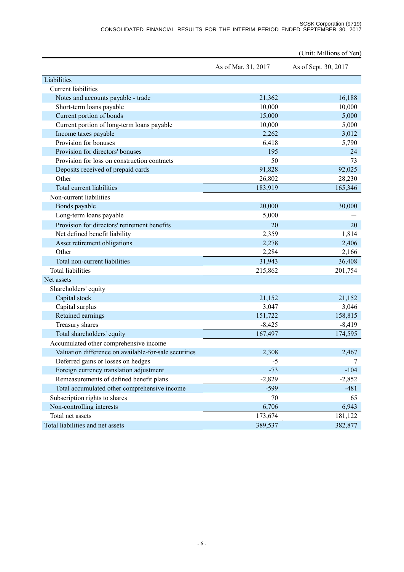#### SCSK Corporation (9719) CONSOLIDATED FINANCIAL RESULTS FOR THE INTERIM PERIOD ENDED SEPTEMBER 30, 2017

|                                                       |                     | (Unit: Millions of Yen) |
|-------------------------------------------------------|---------------------|-------------------------|
|                                                       | As of Mar. 31, 2017 | As of Sept. 30, 2017    |
| Liabilities                                           |                     |                         |
| <b>Current liabilities</b>                            |                     |                         |
| Notes and accounts payable - trade                    | 21,362              | 16,188                  |
| Short-term loans payable                              | 10,000              | 10,000                  |
| Current portion of bonds                              | 15,000              | 5,000                   |
| Current portion of long-term loans payable            | 10,000              | 5,000                   |
| Income taxes payable                                  | 2,262               | 3,012                   |
| Provision for bonuses                                 | 6,418               | 5,790                   |
| Provision for directors' bonuses                      | 195                 | 24                      |
| Provision for loss on construction contracts          | 50                  | 73                      |
| Deposits received of prepaid cards                    | 91,828              | 92,025                  |
| Other                                                 | 26,802              | 28,230                  |
| Total current liabilities                             | 183,919             | 165,346                 |
| Non-current liabilities                               |                     |                         |
| Bonds payable                                         | 20,000              | 30,000                  |
| Long-term loans payable                               | 5,000               |                         |
| Provision for directors' retirement benefits          | 20                  | 20                      |
| Net defined benefit liability                         | 2,359               | 1,814                   |
| Asset retirement obligations                          | 2,278               | 2,406                   |
| Other                                                 | 2,284               | 2,166                   |
| Total non-current liabilities                         | 31,943              | 36,408                  |
| <b>Total liabilities</b>                              | 215,862             | 201,754                 |
| Net assets                                            |                     |                         |
| Shareholders' equity                                  |                     |                         |
| Capital stock                                         | 21,152              | 21,152                  |
| Capital surplus                                       | 3,047               | 3,046                   |
| Retained earnings                                     | 151,722             | 158,815                 |
| Treasury shares                                       | $-8,425$            | $-8,419$                |
| Total shareholders' equity                            | 167,497             | 174,595                 |
| Accumulated other comprehensive income                |                     |                         |
| Valuation difference on available-for-sale securities | 2,308               | 2,467                   |
| Deferred gains or losses on hedges                    | $-5$                | 7                       |
| Foreign currency translation adjustment               | $-73$               | $-104$                  |
| Remeasurements of defined benefit plans               | $-2,829$            | $-2,852$                |
| Total accumulated other comprehensive income          | $-599$              | $-481$                  |
| Subscription rights to shares                         | 70                  | 65                      |
| Non-controlling interests                             | 6,706               | 6,943                   |
| Total net assets                                      | 173,674             | 181,122                 |
| Total liabilities and net assets                      |                     |                         |
|                                                       | 389,537             | 382,877                 |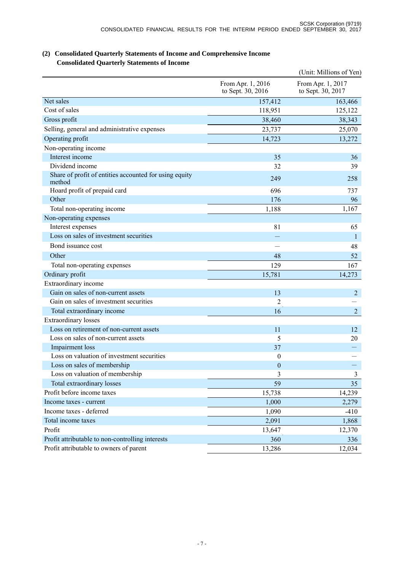|                                                                  |                                        | (Unit: Millions of Yen)                |
|------------------------------------------------------------------|----------------------------------------|----------------------------------------|
|                                                                  | From Apr. 1, 2016<br>to Sept. 30, 2016 | From Apr. 1, 2017<br>to Sept. 30, 2017 |
| Net sales                                                        | 157,412                                | 163,466                                |
| Cost of sales                                                    | 118,951                                | 125,122                                |
| Gross profit                                                     | 38,460                                 | 38,343                                 |
| Selling, general and administrative expenses                     | 23,737                                 | 25,070                                 |
| Operating profit                                                 | 14,723                                 | 13,272                                 |
| Non-operating income                                             |                                        |                                        |
| Interest income                                                  | 35                                     | 36                                     |
| Dividend income                                                  | 32                                     | 39                                     |
| Share of profit of entities accounted for using equity<br>method | 249                                    | 258                                    |
| Hoard profit of prepaid card                                     | 696                                    | 737                                    |
| Other                                                            | 176                                    | 96                                     |
| Total non-operating income                                       | 1,188                                  | 1,167                                  |
| Non-operating expenses                                           |                                        |                                        |
| Interest expenses                                                | 81                                     | 65                                     |
| Loss on sales of investment securities                           |                                        | 1                                      |
| Bond issuance cost                                               |                                        | 48                                     |
| Other                                                            | 48                                     | 52                                     |
| Total non-operating expenses                                     | 129                                    | 167                                    |
| Ordinary profit                                                  | 15,781                                 | 14,273                                 |
| Extraordinary income                                             |                                        |                                        |
| Gain on sales of non-current assets                              | 13                                     | $\overline{2}$                         |
| Gain on sales of investment securities                           | 2                                      |                                        |
| Total extraordinary income                                       | 16                                     | $\overline{2}$                         |
| <b>Extraordinary losses</b>                                      |                                        |                                        |
| Loss on retirement of non-current assets                         | 11                                     | 12                                     |
| Loss on sales of non-current assets                              | 5                                      | 20                                     |
| Impairment loss                                                  | 37                                     |                                        |
| Loss on valuation of investment securities                       | $\boldsymbol{0}$                       |                                        |
| Loss on sales of membership                                      | $\boldsymbol{0}$                       |                                        |
| Loss on valuation of membership                                  | 3                                      | 3                                      |
| Total extraordinary losses                                       | 59                                     | 35                                     |
| Profit before income taxes                                       | 15,738                                 | 14,239                                 |
| Income taxes - current                                           | 1,000                                  | 2,279                                  |
| Income taxes - deferred                                          | 1,090                                  | $-410$                                 |
| Total income taxes                                               | 2,091                                  | 1,868                                  |
| Profit                                                           | 13,647                                 | 12,370                                 |
| Profit attributable to non-controlling interests                 | 360                                    | 336                                    |
| Profit attributable to owners of parent                          | 13,286                                 | 12,034                                 |

## **(2) Consolidated Quarterly Statements of Income and Comprehensive Income Consolidated Quarterly Statements of Income**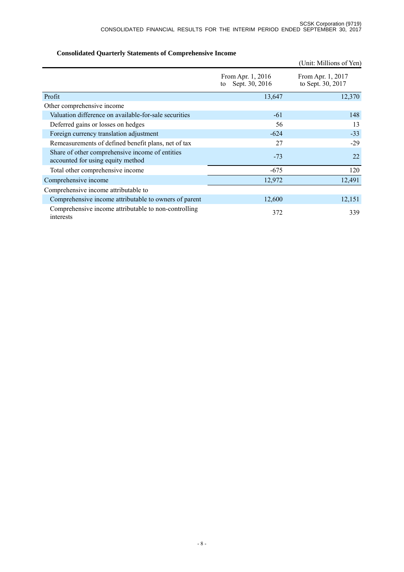|                                                                                      |                                           | (Unit: Millions of Yen)                |
|--------------------------------------------------------------------------------------|-------------------------------------------|----------------------------------------|
|                                                                                      | From Apr. 1, 2016<br>Sept. 30, 2016<br>to | From Apr. 1, 2017<br>to Sept. 30, 2017 |
| Profit                                                                               | 13,647                                    | 12,370                                 |
| Other comprehensive income                                                           |                                           |                                        |
| Valuation difference on available-for-sale securities                                | $-61$                                     | 148                                    |
| Deferred gains or losses on hedges                                                   | 56                                        | 13                                     |
| Foreign currency translation adjustment                                              | $-624$                                    | $-33$                                  |
| Remeasurements of defined benefit plans, net of tax                                  | 27                                        | $-29$                                  |
| Share of other comprehensive income of entities<br>accounted for using equity method | $-73$                                     | 22                                     |
| Total other comprehensive income                                                     | $-675$                                    | 120                                    |
| Comprehensive income                                                                 | 12,972                                    | 12,491                                 |
| Comprehensive income attributable to                                                 |                                           |                                        |
| Comprehensive income attributable to owners of parent                                | 12,600                                    | 12,151                                 |
| Comprehensive income attributable to non-controlling<br>interests                    | 372                                       | 339                                    |

## **Consolidated Quarterly Statements of Comprehensive Income**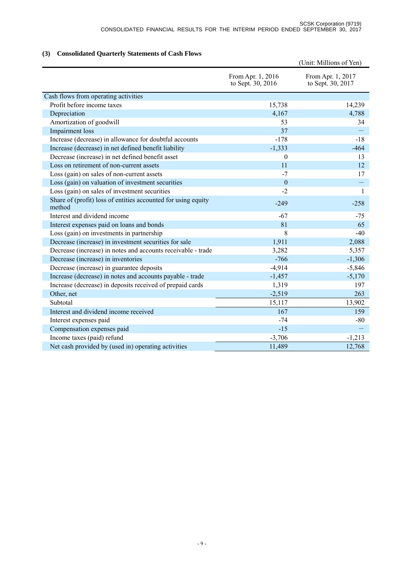## **(3) Consolidated Quarterly Statements of Cash Flows**

|                                                                         |                                        | (Unit: Millions of Yen)                |
|-------------------------------------------------------------------------|----------------------------------------|----------------------------------------|
|                                                                         | From Apr. 1, 2016<br>to Sept. 30, 2016 | From Apr. 1, 2017<br>to Sept. 30, 2017 |
| Cash flows from operating activities                                    |                                        |                                        |
| Profit before income taxes                                              | 15,738                                 | 14,239                                 |
| Depreciation                                                            | 4,167                                  | 4,788                                  |
| Amortization of goodwill                                                | 53                                     | 34                                     |
| Impairment loss                                                         | 37                                     |                                        |
| Increase (decrease) in allowance for doubtful accounts                  | $-178$                                 | $-18$                                  |
| Increase (decrease) in net defined benefit liability                    | $-1,333$                               | $-464$                                 |
| Decrease (increase) in net defined benefit asset                        | $\theta$                               | 13                                     |
| Loss on retirement of non-current assets                                | 11                                     | 12                                     |
| Loss (gain) on sales of non-current assets                              | $-7$                                   | 17                                     |
| Loss (gain) on valuation of investment securities                       | $\mathbf{0}$                           |                                        |
| Loss (gain) on sales of investment securities                           | $-2$                                   | $\mathbf{1}$                           |
| Share of (profit) loss of entities accounted for using equity<br>method | $-249$                                 | $-258$                                 |
| Interest and dividend income                                            | $-67$                                  | $-75$                                  |
| Interest expenses paid on loans and bonds                               | 81                                     | 65                                     |
| Loss (gain) on investments in partnership                               | 8                                      | $-40$                                  |
| Decrease (increase) in investment securities for sale                   | 1,911                                  | 2,088                                  |
| Decrease (increase) in notes and accounts receivable - trade            | 3,282                                  | 5,357                                  |
| Decrease (increase) in inventories                                      | $-766$                                 | $-1,306$                               |
| Decrease (increase) in guarantee deposits                               | $-4,914$                               | $-5,846$                               |
| Increase (decrease) in notes and accounts payable - trade               | $-1,457$                               | $-5,170$                               |
| Increase (decrease) in deposits received of prepaid cards               | 1,319                                  | 197                                    |
| Other, net                                                              | $-2,519$                               | 263                                    |
| Subtotal                                                                | 15,117                                 | 13,902                                 |
| Interest and dividend income received                                   | 167                                    | 159                                    |
| Interest expenses paid                                                  | $-74$                                  | $-80$                                  |
| Compensation expenses paid                                              | $-15$                                  |                                        |
| Income taxes (paid) refund                                              | $-3,706$                               | $-1,213$                               |
| Net cash provided by (used in) operating activities                     | 11,489                                 | 12,768                                 |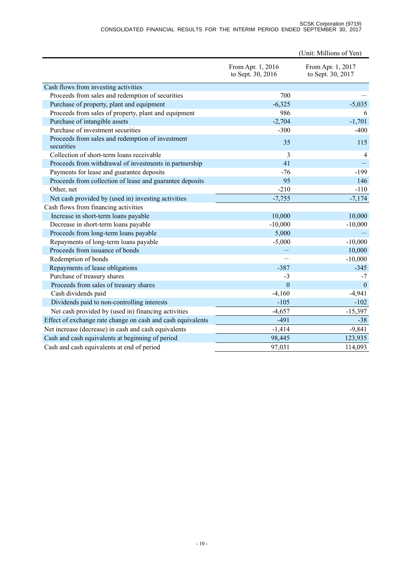#### SCSK Corporation (9719) CONSOLIDATED FINANCIAL RESULTS FOR THE INTERIM PERIOD ENDED SEPTEMBER 30, 2017

|                                                                |                                        | (Unit: Millions of Yen)                |
|----------------------------------------------------------------|----------------------------------------|----------------------------------------|
|                                                                | From Apr. 1, 2016<br>to Sept. 30, 2016 | From Apr. 1, 2017<br>to Sept. 30, 2017 |
| Cash flows from investing activities                           |                                        |                                        |
| Proceeds from sales and redemption of securities               | 700                                    |                                        |
| Purchase of property, plant and equipment                      | $-6,325$                               | $-5,035$                               |
| Proceeds from sales of property, plant and equipment           | 986                                    | 6                                      |
| Purchase of intangible assets                                  | $-2,704$                               | $-1,701$                               |
| Purchase of investment securities                              | $-300$                                 | $-400$                                 |
| Proceeds from sales and redemption of investment<br>securities | 35                                     | 115                                    |
| Collection of short-term loans receivable                      | 3                                      | $\overline{4}$                         |
| Proceeds from withdrawal of investments in partnership         | 41                                     |                                        |
| Payments for lease and guarantee deposits                      | $-76$                                  | $-199$                                 |
| Proceeds from collection of lease and guarantee deposits       | 95                                     | 146                                    |
| Other, net                                                     | $-210$                                 | $-110$                                 |
| Net cash provided by (used in) investing activities            | $-7,755$                               | $-7,174$                               |
| Cash flows from financing activities                           |                                        |                                        |
| Increase in short-term loans payable                           | 10,000                                 | 10,000                                 |
| Decrease in short-term loans payable                           | $-10,000$                              | $-10,000$                              |
| Proceeds from long-term loans payable                          | 5,000                                  |                                        |
| Repayments of long-term loans payable                          | $-5,000$                               | $-10,000$                              |
| Proceeds from issuance of bonds                                |                                        | 10,000                                 |
| Redemption of bonds                                            |                                        | $-10,000$                              |
| Repayments of lease obligations                                | $-387$                                 | $-345$                                 |
| Purchase of treasury shares                                    | $-3$                                   | $-7$                                   |
| Proceeds from sales of treasury shares                         | $\overline{0}$                         | $\overline{0}$                         |
| Cash dividends paid                                            | $-4,160$                               | $-4,941$                               |
| Dividends paid to non-controlling interests                    | $-105$                                 | $-102$                                 |
| Net cash provided by (used in) financing activities            | $-4,657$                               | $-15,397$                              |
| Effect of exchange rate change on cash and cash equivalents    | $-491$                                 | $-38$                                  |
| Net increase (decrease) in cash and cash equivalents           | $-1,414$                               | $-9,841$                               |
| Cash and cash equivalents at beginning of period               | 98,445                                 | 123,935                                |
| Cash and cash equivalents at end of period                     | 97,031                                 | 114,093                                |
|                                                                |                                        |                                        |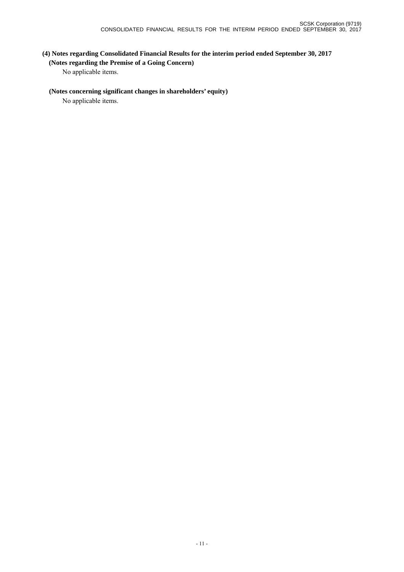# **(4) Notes regarding Consolidated Financial Results for the interim period ended September 30, 2017 (Notes regarding the Premise of a Going Concern)**

No applicable items.

## **(Notes concerning significant changes in shareholders' equity)**

No applicable items.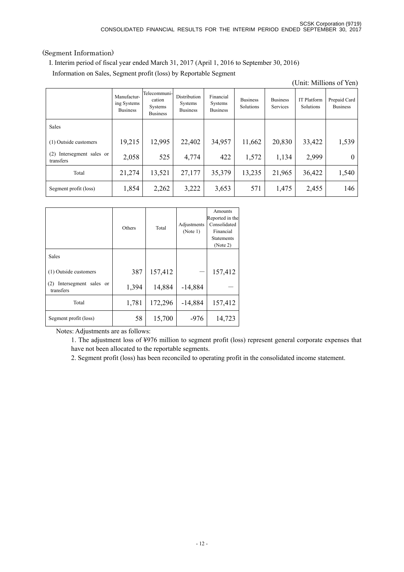## (Segment Information)

I. Interim period of fiscal year ended March 31, 2017 (April 1, 2016 to September 30, 2016)

Information on Sales, Segment profit (loss) by Reportable Segment

| (Unit: Millions of Yen)                   |                                               |                                                      |                                                   |                                         |                              |                             |                                 |                                 |
|-------------------------------------------|-----------------------------------------------|------------------------------------------------------|---------------------------------------------------|-----------------------------------------|------------------------------|-----------------------------|---------------------------------|---------------------------------|
|                                           | Manufactur-<br>ing Systems<br><b>Business</b> | Telecommuni-<br>cation<br>Systems<br><b>Business</b> | Distribution<br><b>Systems</b><br><b>Business</b> | Financial<br>Systems<br><b>Business</b> | <b>Business</b><br>Solutions | <b>Business</b><br>Services | <b>IT Platform</b><br>Solutions | Prepaid Card<br><b>Business</b> |
| <b>Sales</b>                              |                                               |                                                      |                                                   |                                         |                              |                             |                                 |                                 |
| (1) Outside customers                     | 19,215                                        | 12,995                                               | 22,402                                            | 34,957                                  | 11,662                       | 20,830                      | 33,422                          | 1,539                           |
| Intersegment sales or<br>(2)<br>transfers | 2,058                                         | 525                                                  | 4,774                                             | 422                                     | 1,572                        | 1,134                       | 2,999                           | $\theta$                        |
| Total                                     | 21,274                                        | 13,521                                               | 27,177                                            | 35,379                                  | 13,235                       | 21,965                      | 36,422                          | 1,540                           |
| Segment profit (loss)                     | 1,854                                         | 2,262                                                | 3,222                                             | 3,653                                   | 571                          | 1,475                       | 2,455                           | 146                             |

|                                           | Others | Total   | Adjustments<br>(Note 1) | Amounts<br>Reported in the<br>Consolidated<br>Financial<br><b>Statements</b><br>(Note 2) |
|-------------------------------------------|--------|---------|-------------------------|------------------------------------------------------------------------------------------|
| Sales                                     |        |         |                         |                                                                                          |
| (1) Outside customers                     | 387    | 157,412 |                         | 157,412                                                                                  |
| Intersegment sales or<br>(2)<br>transfers | 1,394  | 14,884  | $-14,884$               |                                                                                          |
| Total                                     | 1,781  | 172,296 | $-14,884$               | 157,412                                                                                  |
| Segment profit (loss)                     | 58     | 15,700  | $-976$                  | 14,723                                                                                   |

Notes: Adjustments are as follows:

1. The adjustment loss of ¥976 million to segment profit (loss) represent general corporate expenses that have not been allocated to the reportable segments.

2. Segment profit (loss) has been reconciled to operating profit in the consolidated income statement.